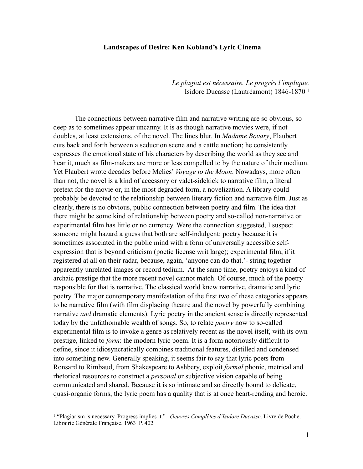## **Landscapes of Desire: Ken Kobland's Lyric Cinema**

 *Le plagiat est nécessaire. Le progrès l'implique.* Isidore Ducasse (Lautréamont) 1846-1870 1

The connections between narrative film and narrative writing are so obvious, so deep as to sometimes appear uncanny. It is as though narrative movies were, if not doubles, at least extensions, of the novel. The lines blur. In *Madame Bovary*, Flaubert cuts back and forth between a seduction scene and a cattle auction; he consistently expresses the emotional state of his characters by describing the world as they see and hear it, much as film-makers are more or less compelled to by the nature of their medium. Yet Flaubert wrote decades before Melies' *Voyage to the Moon*. Nowadays, more often than not, the novel is a kind of accessory or valet-sidekick to narrative film, a literal pretext for the movie or, in the most degraded form, a novelization. A library could probably be devoted to the relationship between literary fiction and narrative film. Just as clearly, there is no obvious, public connection between poetry and film. The idea that there might be some kind of relationship between poetry and so-called non-narrative or experimental film has little or no currency. Were the connection suggested, I suspect someone might hazard a guess that both are self-indulgent: poetry because it is sometimes associated in the public mind with a form of universally accessible selfexpression that is beyond criticism (poetic license writ large); experimental film, if it registered at all on their radar, because, again, 'anyone can do that.'- string together apparently unrelated images or record tedium. At the same time, poetry enjoys a kind of archaic prestige that the more recent novel cannot match. Of course, much of the poetry responsible for that is narrative. The classical world knew narrative, dramatic and lyric poetry. The major contemporary manifestation of the first two of these categories appears to be narrative film (with film displacing theatre and the novel by powerfully combining narrative *and* dramatic elements). Lyric poetry in the ancient sense is directly represented today by the unfathomable wealth of songs. So, to relate *poetry* now to so-called experimental film is to invoke a genre as relatively recent as the novel itself, with its own prestige, linked to *form*: the modern lyric poem. It is a form notoriously difficult to define, since it idiosyncratically combines traditional features, distilled and condensed into something new. Generally speaking, it seems fair to say that lyric poets from Ronsard to Rimbaud, from Shakespeare to Ashbery, exploit *formal* phonic, metrical and rhetorical resources to construct a *personal* or subjective vision capable of being communicated and shared. Because it is so intimate and so directly bound to delicate, quasi-organic forms, the lyric poem has a quality that is at once heart-rending and heroic.

<sup>&</sup>lt;sup>1</sup> "Plagiarism is necessary. Progress implies it." *Oeuvres Complètes d'Isidore Ducasse*. Livre de Poche. Librairie Générale Française. 1963 P. 402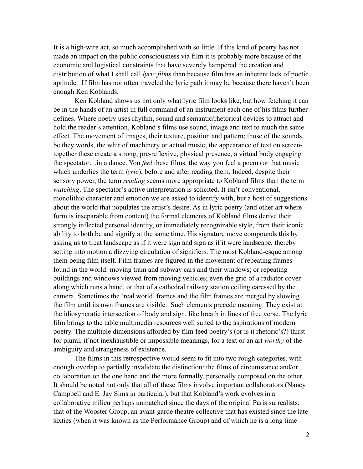It is a high-wire act, so much accomplished with so little. If this kind of poetry has not made an impact on the public consciousness via film it is probably more because of the economic and logistical constraints that have severely hampered the creation and distribution of what I shall call *lyric films* than because film has an inherent lack of poetic aptitude. If film has not often traveled the lyric path it may be because there haven't been enough Ken Koblands.

Ken Kobland shows us not only what lyric film looks like, but how fetching it can be in the hands of an artist in full command of an instrument each one of his films further defines. Where poetry uses rhythm, sound and semantic/rhetorical devices to attract and hold the reader's attention, Kobland's films use sound, image and text to much the same effect. The movement of images, their texture, position and pattern; those of the sounds, be they words, the whir of machinery or actual music; the appearance of text on screentogether these create a strong, pre-reflexive, physical presence, a virtual body engaging the spectator…in a dance. You *feel* these films, the way you feel a poem (or that music which underlies the term *lyric*), before and after reading them. Indeed, despite their sensory power, the term *reading* seems more appropriate to Kobland films than the term *watching*. The spectator's active interpretation is solicited. It isn't conventional, monolithic character and emotion we are asked to identify with, but a host of suggestions about the world that populates the artist's desire. As in lyric poetry (and other art where form is inseparable from content) the formal elements of Kobland films derive their strongly inflected personal identity, or immediately recognizable style, from their iconic ability to both be and signify at the same time. His signature move compounds this by asking us to treat landscape as if it were sign and sign as if it were landscape, thereby setting into motion a dizzying circulation of signifiers. The most Kobland-esque among them being film itself. Film frames are figured in the movement of repeating frames found in the world: moving train and subway cars and their windows; or repeating buildings and windows viewed from moving vehicles; even the grid of a radiator cover along which runs a hand, or that of a cathedral railway station ceiling caressed by the camera. Sometimes the 'real world' frames and the film frames are merged by slowing the film until its own frames are visible. Such elements precede meaning. They exist at the idiosyncratic intersection of body and sign, like breath in lines of free verse. The lyric film brings to the table multimedia resources well suited to the aspirations of modern poetry. The multiple dimensions afforded by film feed poetry's (or is it rhetoric's?) thirst for plural, if not inexhaustible or impossible meanings, for a text or an art *worthy* of the ambiguity and strangeness of existence.

The films in this retrospective would seem to fit into two rough categories, with enough overlap to partially invalidate the distinction: the films of circumstance and/or collaboration on the one hand and the more formally, personally composed on the other. It should be noted not only that all of these films involve important collaborators (Nancy Campbell and E. Jay Sims in particular), but that Kobland's work evolves in a collaborative milieu perhaps unmatched since the days of the original Paris surrealists: that of the Wooster Group, an avant-garde theatre collective that has existed since the late sixties (when it was known as the Performance Group) and of which he is a long time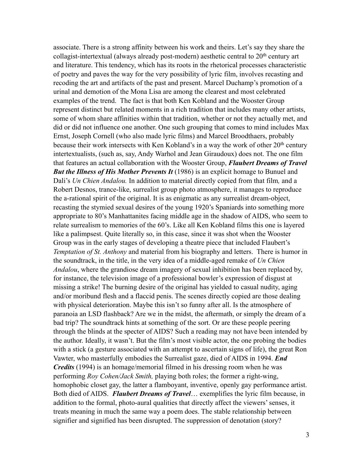associate. There is a strong affinity between his work and theirs. Let's say they share the collagist-intertextual (always already post-modern) aesthetic central to  $20<sup>th</sup>$  century art and literature. This tendency, which has its roots in the rhetorical processes characteristic of poetry and paves the way for the very possibility of lyric film, involves recasting and recoding the art and artifacts of the past and present. Marcel Duchamp's promotion of a urinal and demotion of the Mona Lisa are among the clearest and most celebrated examples of the trend. The fact is that both Ken Kobland and the Wooster Group represent distinct but related moments in a rich tradition that includes many other artists, some of whom share affinities within that tradition, whether or not they actually met, and did or did not influence one another. One such grouping that comes to mind includes Max Ernst, Joseph Cornell (who also made lyric films) and Marcel Broodthaers, probably because their work intersects with Ken Kobland's in a way the work of other 20<sup>th</sup> century intertextualists, (such as, say, Andy Warhol and Jean Giraudoux) does not. The one film that features an actual collaboration with the Wooster Group, *Flaubert Dreams of Travel But the Illness of His Mother Prevents It* (1986) is an explicit homage to Bunuel and Dali's *Un Chien Andalou.* In addition to material directly copied from that film*,* and a Robert Desnos, trance-like, surrealist group photo atmosphere, it manages to reproduce the a-rational spirit of the original. It is as enigmatic as any surrealist dream-object, recasting the stymied sexual desires of the young 1920's Spaniards into something more appropriate to 80's Manhattanites facing middle age in the shadow of AIDS, who seem to relate surrealism to memories of the 60's. Like all Ken Kobland films this one is layered like a palimpsest. Quite literally so, in this case, since it was shot when the Wooster Group was in the early stages of developing a theatre piece that included Flaubert's *Temptation of St. Anthony* and material from his biography and letters. There is humor in the soundtrack, in the title, in the very idea of a middle-aged remake of *Un Chien Andalou*, where the grandiose dream imagery of sexual inhibition has been replaced by, for instance, the television image of a professional bowler's expression of disgust at missing a strike! The burning desire of the original has yielded to casual nudity, aging and/or moribund flesh and a flaccid penis. The scenes directly copied are those dealing with physical deterioration. Maybe this isn't so funny after all. Is the atmosphere of paranoia an LSD flashback? Are we in the midst, the aftermath, or simply the dream of a bad trip? The soundtrack hints at something of the sort. Or are these people peering through the blinds at the specter of AIDS? Such a reading may not have been intended by the author. Ideally, it wasn't. But the film's most visible actor, the one probing the bodies with a stick (a gesture associated with an attempt to ascertain signs of life), the great Ron Vawter, who masterfully embodies the Surrealist gaze, died of AIDS in 1994. *End Credits* (1994) is an homage/memorial filmed in his dressing room when he was performing *Roy Cohen/Jack Smith,* playing both roles; the former a right-wing, homophobic closet gay, the latter a flamboyant, inventive, openly gay performance artist. Both died of AIDS. *Flaubert Dreams of Travel*… exemplifies the lyric film because, in addition to the formal, photo-aural qualities that directly affect the viewers' senses, it treats meaning in much the same way a poem does. The stable relationship between signifier and signified has been disrupted. The suppression of denotation (story?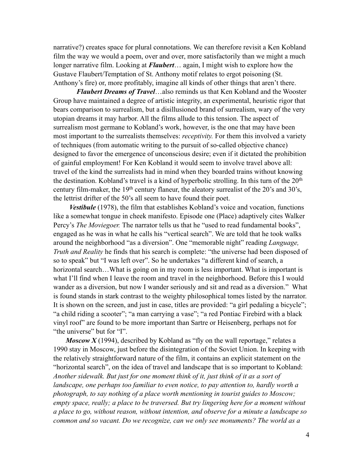narrative?) creates space for plural connotations. We can therefore revisit a Ken Kobland film the way we would a poem, over and over, more satisfactorily than we might a much longer narrative film. Looking at *Flaubert*… again, I might wish to explore how the Gustave Flaubert/Temptation of St. Anthony motif relates to ergot poisoning (St. Anthony's fire) or, more profitably, imagine all kinds of other things that aren't there.

 *Flaubert Dreams of Travel*…also reminds us that Ken Kobland and the Wooster Group have maintained a degree of artistic integrity, an experimental, heuristic rigor that bears comparison to surrealism, but a disillusioned brand of surrealism, wary of the very utopian dreams it may harbor. All the films allude to this tension. The aspect of surrealism most germane to Kobland's work, however, is the one that may have been most important to the surrealists themselves: *receptivity.* For them this involved a variety of techniques (from automatic writing to the pursuit of so-called objective chance) designed to favor the emergence of unconscious desire; even if it dictated the prohibition of gainful employment! For Ken Kobland it would seem to involve travel above all: travel of the kind the surrealists had in mind when they boarded trains without knowing the destination. Kobland's travel is a kind of hyperbolic strolling. In this turn of the  $20<sup>th</sup>$ century film-maker, the 19th century flaneur, the aleatory surrealist of the 20's and 30's, the lettrist drifter of the 50's all seem to have found their poet.

 *Vestibule* (1978), the film that establishes Kobland's voice and vocation, functions like a somewhat tongue in cheek manifesto. Episode one (Place) adaptively cites Walker Percy's *The Moviegoer*. The narrator tells us that he "used to read fundamental books", engaged as he was in what he calls his "vertical search". We are told that he took walks around the neighborhood "as a diversion". One "memorable night" reading *Language, Truth and Reality* he finds that his search is complete: "the universe had been disposed of so to speak" but "I was left over". So he undertakes "a different kind of search, a horizontal search...What is going on in my room is less important. What is important is what I'll find when I leave the room and travel in the neighborhood. Before this I would wander as a diversion, but now I wander seriously and sit and read as a diversion." What is found stands in stark contrast to the weighty philosophical tomes listed by the narrator. It is shown on the screen, and just in case, titles are provided: "a girl pedaling a bicycle"; "a child riding a scooter"; "a man carrying a vase"; "a red Pontiac Firebird with a black vinyl roof" are found to be more important than Sartre or Heisenberg, perhaps not for "the universe" but for "I".

*Moscow X* (1994), described by Kobland as "fly on the wall reportage," relates a 1990 stay in Moscow, just before the disintegration of the Soviet Union. In keeping with the relatively straightforward nature of the film, it contains an explicit statement on the "horizontal search", on the idea of travel and landscape that is so important to Kobland: *Another sidewalk. But just for one moment think of it, just think of it as a sort of landscape, one perhaps too familiar to even notice, to pay attention to, hardly worth a photograph, to say nothing of a place worth mentioning in tourist guides to Moscow; empty space, really; a place to be traversed. But try lingering here for a moment without a place to go, without reason, without intention, and observe for a minute a landscape so common and so vacant. Do we recognize, can we only see monuments? The world as a*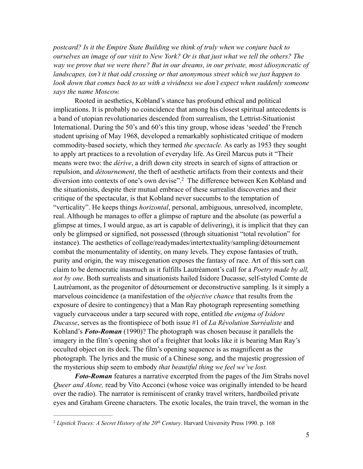*postcard? Is it the Empire State Building we think of truly when we conjure back to ourselves an image of our visit to New York? Or is that just what we tell the others? The way we prove that we were there? But in our dreams, in our private, most idiosyncratic of*  landscapes, isn't it that odd crossing or that anonymous street which we just happen to *look down that comes back to us with a vividness we don't expect when suddenly someone says the name Moscow.* 

Rooted in aesthetics, Kobland's stance has profound ethical and political implications. It is probably no coincidence that among his closest spiritual antecedents is a band of utopian revolutionaries descended from surrealism, the Lettrist-Situationist International. During the 50's and 60's this tiny group, whose ideas 'seeded' the French student uprising of May 1968, developed a remarkably sophisticated critique of modern commodity-based society, which they termed *the spectacle.* As early as 1953 they sought to apply art practices to a revolution of everyday life. As Greil Marcus puts it "Their means were two: the *dérive*, a drift down city streets in search of signs of attraction or repulsion, and *détournement*, the theft of aesthetic artifacts from their contexts and their diversion into contexts of one's own devise".<sup>2</sup> The difference between Ken Kobland and the situationists, despite their mutual embrace of these surrealist discoveries and their critique of the spectacular, is that Kobland never succumbs to the temptation of "verticality". He keeps things *horizontal*, personal, ambiguous, unresolved, incomplete, real. Although he manages to offer a glimpse of rapture and the absolute (as powerful a glimpse at times, I would argue, as art is capable of delivering), it is implicit that they can only be glimpsed or signified, not possessed (through situationist "total revolution" for instance). The aesthetics of collage/readymades/intertextuality/sampling/détournement combat the monumentality of identity, on many levels. They expose fantasies of truth, purity and origin, the way miscegenation exposes the fantasy of race. Art of this sort can claim to be democratic inasmuch as it fulfills Lautréamont's call for a *Poetry made by all, not by one*. Both surrealists and situationists hailed Isidore Ducasse, self-styled Comte de Lautréamont, as the progenitor of détournement or deconstructive sampling. Is it simply a marvelous coincidence (a manifestation of the *objective chance* that results from the exposure of desire to contingency) that a Man Ray photograph representing something vaguely curvaceous under a tarp secured with rope, entitled *the enigma of Isidore Ducasse*, serves as the frontispiece of both issue #1 of *La Révolution Surréaliste* and Kobland's *Foto-Roman* (1990)? The photograph was chosen because it parallels the imagery in the film's opening shot of a freighter that looks like it is bearing Man Ray's occulted object on its deck. The film's opening sequence is as magnificent as the photograph. The lyrics and the music of a Chinese song, and the majestic progression of the mysterious ship seem to embody *that beautiful thing we feel we've lost.*

*Foto-Roman* features a narrative excerpted from the pages of the Jim Strahs novel *Queer and Alone, read by Vito Acconci (whose voice was originally intended to be heard* over the radio). The narrator is reminiscent of cranky travel writers, hardboiled private eyes and Graham Greene characters. The exotic locales, the train travel, the woman in the

<sup>&</sup>lt;sup>2</sup> Lipstick Traces: A Secret History of the 20<sup>th</sup> Century. Harvard University Press 1990. p. 168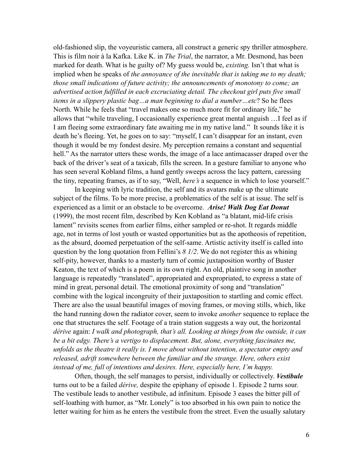old-fashioned slip, the voyeuristic camera, all construct a generic spy thriller atmosphere. This is film noir à la Kafka. Like K. in *The Trial*, the narrator, a Mr. Desmond, has been marked for death. What is he guilty of? My guess would be, *existing.* Isn't that what is implied when he speaks of *the annoyance of the inevitable that is taking me to my death; those small indications of future activity; the announcements of monotony to come; an advertised action fulfilled in each excruciating detail. The checkout girl puts five small items in a slippery plastic bag…a man beginning to dial a number…etc*? So he flees North. While he feels that "travel makes one so much more fit for ordinary life," he allows that "while traveling, I occasionally experience great mental anguish …I feel as if I am fleeing some extraordinary fate awaiting me in my native land." It sounds like it is death he's fleeing. Yet, he goes on to say: "myself, I can't disappear for an instant, even though it would be my fondest desire. My perception remains a constant and sequential hell." As the narrator utters these words, the image of a lace antimacasser draped over the back of the driver's seat of a taxicab, fills the screen. In a gesture familiar to anyone who has seen several Kobland films, a hand gently sweeps across the lacy pattern, caressing the tiny, repeating frames, as if to say, "Well, *here's* a sequence in which to lose yourself."

In keeping with lyric tradition, the self and its avatars make up the ultimate subject of the films. To be more precise, a problematics of the self is at issue. The self is experienced as a limit or an obstacle to be overcome. *Arise! Walk Dog Eat Donut*  (1999), the most recent film, described by Ken Kobland as "a blatant, mid-life crisis lament" revisits scenes from earlier films, either sampled or re-shot. It regards middle age, not in terms of lost youth or wasted opportunities but as the apotheosis of repetition, as the absurd, doomed perpetuation of the self-same. Artistic activity itself is called into question by the long quotation from Fellini's *8 1/2*. We do not register this as whining self-pity, however, thanks to a masterly turn of comic juxtaposition worthy of Buster Keaton, the text of which is a poem in its own right. An old, plaintive song in another language is repeatedly "translated", appropriated and expropriated, to express a state of mind in great, personal detail. The emotional proximity of song and "translation" combine with the logical incongruity of their juxtaposition to startling and comic effect. There are also the usual beautiful images of moving frames, or moving stills, which, like the hand running down the radiator cover, seem to invoke *another* sequence to replace the one that structures the self. Footage of a train station suggests a way out, the horizontal *dérive* again: *I walk and photograph, that's all. Looking at things from the outside, it can be a bit edgy. There's a vertigo to displacement. But, alone, everything fascinates me, unfolds as the theatre it really is. I move about without intention, a spectator empty and released, adrift somewhere between the familiar and the strange. Here, others exist instead of me, full of intentions and desires. Here, especially here, I'm happy.*

Often, though, the self manages to persist, individually or collectively. *Vestibule* turns out to be a failed *dérive,* despite the epiphany of episode 1. Episode 2 turns sour. The vestibule leads to another vestibule, ad infinitum. Episode 3 eases the bitter pill of self-loathing with humor, as "Mr. Lonely" is too absorbed in his own pain to notice the letter waiting for him as he enters the vestibule from the street. Even the usually salutary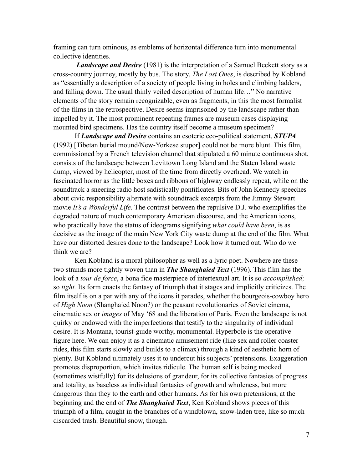framing can turn ominous, as emblems of horizontal difference turn into monumental collective identities.

*Landscape and Desire* (1981) is the interpretation of a Samuel Beckett story as a cross-country journey, mostly by bus. The story, *The Lost Ones*, is described by Kobland as "essentially a description of a society of people living in holes and climbing ladders, and falling down. The usual thinly veiled description of human life…" No narrative elements of the story remain recognizable, even as fragments, in this the most formalist of the films in the retrospective. Desire seems imprisoned by the landscape rather than impelled by it. The most prominent repeating frames are museum cases displaying mounted bird specimens. Has the country itself become a museum specimen?

If *Landscape and Desire* contains an esoteric eco-political statement, *STUPA* (1992) [Tibetan burial mound/New-Yorkese stupor] could not be more blunt. This film, commissioned by a French television channel that stipulated a 60 minute continuous shot, consists of the landscape between Levittown Long Island and the Staten Island waste dump, viewed by helicopter, most of the time from directly overhead. We watch in fascinated horror as the little boxes and ribbons of highway endlessly repeat, while on the soundtrack a sneering radio host sadistically pontificates. Bits of John Kennedy speeches about civic responsibility alternate with soundtrack excerpts from the Jimmy Stewart movie *It's a Wonderful Life*. The contrast between the repulsive D.J. who exemplifies the degraded nature of much contemporary American discourse, and the American icons, who practically have the status of ideograms signifying *what could have been*, is as decisive as the image of the main New York City waste dump at the end of the film. What have our distorted desires done to the landscape? Look how it turned out. Who do we think we are?

Ken Kobland is a moral philosopher as well as a lyric poet. Nowhere are these two strands more tightly woven than in *The Shanghaied Text* (1996). This film has the look of a *tour de force*, a bona fide masterpiece of intertextual art. It is so *accomplished;* so *tight.* Its form enacts the fantasy of triumph that it stages and implicitly criticizes. The film itself is on a par with any of the icons it parades, whether the bourgeois-cowboy hero of *High Noon* (Shanghaied Noon?) or the peasant revolutionaries of Soviet cinema, cinematic sex or *images* of May '68 and the liberation of Paris. Even the landscape is not quirky or endowed with the imperfections that testify to the singularity of individual desire. It is Montana, tourist-guide worthy, monumental. Hyperbole is the operative figure here. We can enjoy it as a cinematic amusement ride (like sex and roller coaster rides, this film starts slowly and builds to a climax) through a kind of aesthetic horn of plenty. But Kobland ultimately uses it to undercut his subjects' pretensions. Exaggeration promotes disproportion, which invites ridicule. The human self is being mocked (sometimes wistfully) for its delusions of grandeur, for its collective fantasies of progress and totality, as baseless as individual fantasies of growth and wholeness, but more dangerous than they to the earth and other humans. As for his own pretensions, at the beginning and the end of *The Shanghaied Text*, Ken Kobland shows pieces of this triumph of a film, caught in the branches of a windblown, snow-laden tree, like so much discarded trash. Beautiful snow, though.